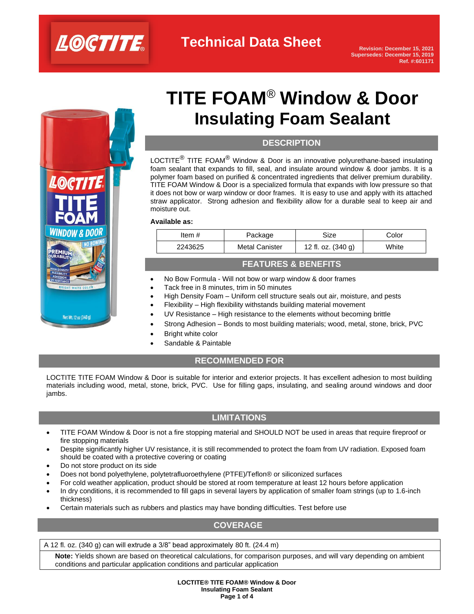



# **TITE FOAM**® **Window & Door Insulating Foam Sealant**

# **DESCRIPTION**

LOCTITE<sup>®</sup> TITE FOAM<sup>®</sup> Window & Door is an innovative polyurethane-based insulating foam sealant that expands to fill, seal, and insulate around window & door jambs. It is a polymer foam based on purified & concentrated ingredients that deliver premium durability. TITE FOAM Window & Door is a specialized formula that expands with low pressure so that it does not bow or warp window or door frames. It is easy to use and apply with its attached straw applicator. Strong adhesion and flexibility allow for a durable seal to keep air and moisture out.

### **Available as:**

| White<br>12 fl. oz. (340 g)<br><b>Metal Canister</b><br>2243625 | Item # | Package | Size | Color |
|-----------------------------------------------------------------|--------|---------|------|-------|
|                                                                 |        |         |      |       |

# **FEATURES & BENEFITS**

- No Bow Formula Will not bow or warp window & door frames
- Tack free in 8 minutes, trim in 50 minutes
- High Density Foam Uniform cell structure seals out air, moisture, and pests
- Flexibility High flexibility withstands building material movement
- UV Resistance High resistance to the elements without becoming brittle
- Strong Adhesion Bonds to most building materials; wood, metal, stone, brick, PVC
- **Bright white color**
- Sandable & Paintable

# **RECOMMENDED FOR**

LOCTITE TITE FOAM Window & Door is suitable for interior and exterior projects. It has excellent adhesion to most building materials including wood, metal, stone, brick, PVC. Use for filling gaps, insulating, and sealing around windows and door jambs.

# **LIMITATIONS**

- TITE FOAM Window & Door is not a fire stopping material and SHOULD NOT be used in areas that require fireproof or fire stopping materials
- Despite significantly higher UV resistance, it is still recommended to protect the foam from UV radiation. Exposed foam should be coated with a protective covering or coating
- Do not store product on its side
- Does not bond polyethylene, polytetrafluoroethylene (PTFE)/Teflon® or siliconized surfaces
- For cold weather application, product should be stored at room temperature at least 12 hours before application
- In dry conditions, it is recommended to fill gaps in several layers by application of smaller foam strings (up to 1.6-inch thickness)
- Certain materials such as rubbers and plastics may have bonding difficulties. Test before use

# **COVERAGE**

### A 12 fl. oz. (340 g) can will extrude a 3/8" bead approximately 80 ft. (24.4 m)

**Note:** Yields shown are based on theoretical calculations, for comparison purposes, and will vary depending on ambient conditions and particular application conditions and particular application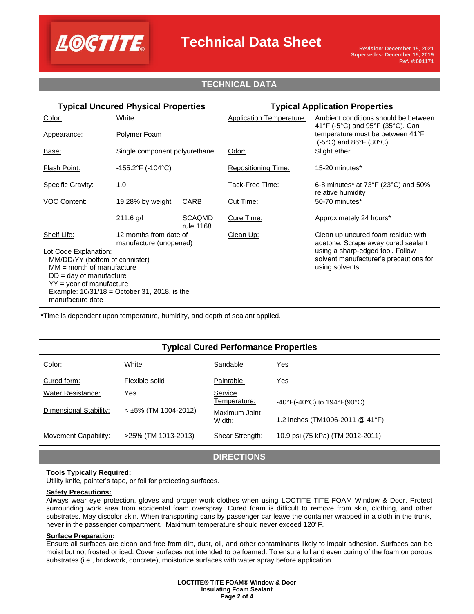

# **Technical Data Sheet**

# **TECHNICAL DATA**

| <b>Typical Uncured Physical Properties</b>                         |                                   | <b>Typical Application Properties</b> |                                                                          |                                                                            |
|--------------------------------------------------------------------|-----------------------------------|---------------------------------------|--------------------------------------------------------------------------|----------------------------------------------------------------------------|
| Color:                                                             | White                             |                                       | <b>Application Temperature:</b>                                          | Ambient conditions should be between<br>41°F (-5°C) and 95°F (35°C). Can   |
| Appearance:                                                        | Polymer Foam                      |                                       |                                                                          | temperature must be between 41°F<br>(-5°C) and 86°F (30°C).                |
| Base:                                                              | Single component polyurethane     |                                       | Odor:                                                                    | Slight ether                                                               |
| <b>Flash Point:</b>                                                | $-155.2^{\circ}F( -104^{\circ}C)$ |                                       | <b>Repositioning Time:</b>                                               | 15-20 minutes*                                                             |
| <b>Specific Gravity:</b>                                           | 1.0                               |                                       | Tack-Free Time:                                                          | 6-8 minutes* at $73^{\circ}F(23^{\circ}C)$ and $50\%$<br>relative humidity |
| <b>VOC Content:</b>                                                | 19.28% by weight                  | <b>CARB</b>                           | Cut Time:                                                                | 50-70 minutes*                                                             |
|                                                                    | $211.6$ g/l                       | <b>SCAQMD</b><br>rule 1168            | Cure Time:                                                               | Approximately 24 hours*                                                    |
| Shelf Life:<br>12 months from date of<br>manufacture (unopened)    |                                   | Clean Up:                             | Clean up uncured foam residue with<br>acetone. Scrape away cured sealant |                                                                            |
| Lot Code Explanation:                                              |                                   |                                       | using a sharp-edged tool. Follow                                         |                                                                            |
| MM/DD/YY (bottom of cannister)<br>$MM = month of manufacture$      |                                   |                                       | solvent manufacturer's precautions for<br>using solvents.                |                                                                            |
| $DD = day$ of manufacture                                          |                                   |                                       |                                                                          |                                                                            |
| $YY = year$ of manufacture                                         |                                   |                                       |                                                                          |                                                                            |
| Example: $10/31/18 =$ October 31, 2018, is the<br>manufacture date |                                   |                                       |                                                                          |                                                                            |

**\***Time is dependent upon temperature, humidity, and depth of sealant applied.

| <b>Typical Cured Performance Properties</b> |                        |                         |                                                                        |  |  |  |  |
|---------------------------------------------|------------------------|-------------------------|------------------------------------------------------------------------|--|--|--|--|
| Color:                                      | White                  | Sandable                | <b>Yes</b>                                                             |  |  |  |  |
| Cured form:                                 | Flexible solid         | Paintable:              | Yes                                                                    |  |  |  |  |
| Water Resistance:                           | Yes                    | Service<br>Temperature: | $-40^{\circ}$ F(-40 $^{\circ}$ C) to 194 $^{\circ}$ F(90 $^{\circ}$ C) |  |  |  |  |
| Dimensional Stability:                      | $<$ ±5% (TM 1004-2012) | Maximum Joint<br>Width: | 1.2 inches (TM1006-2011 @ 41°F)                                        |  |  |  |  |
| <b>Movement Capability:</b>                 | >25% (TM 1013-2013)    | Shear Strength:         | 10.9 psi (75 kPa) (TM 2012-2011)                                       |  |  |  |  |

**DIRECTIONS**

### **Tools Typically Required:**

Utility knife, painter's tape, or foil for protecting surfaces.

#### **Safety Precautions:**

Always wear eye protection, gloves and proper work clothes when using LOCTITE TITE FOAM Window & Door. Protect surrounding work area from accidental foam overspray. Cured foam is difficult to remove from skin, clothing, and other substrates. May discolor skin. When transporting cans by passenger car leave the container wrapped in a cloth in the trunk, never in the passenger compartment. Maximum temperature should never exceed 120°F.

### **Surface Preparation:**

Ensure all surfaces are clean and free from dirt, dust, oil, and other contaminants likely to impair adhesion. Surfaces can be moist but not frosted or iced. Cover surfaces not intended to be foamed. To ensure full and even curing of the foam on porous substrates (i.e., brickwork, concrete), moisturize surfaces with water spray before application.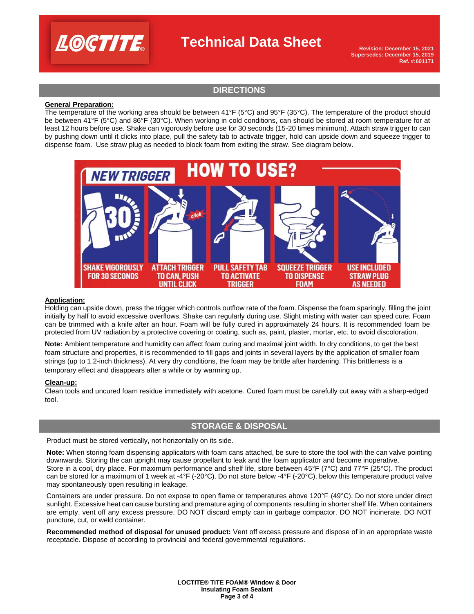

# **Technical Data Sheet**

**Revision: December 15, 2021 Supersedes: December 15, 2019 Ref. #:601171**

# **DIRECTIONS**

### **General Preparation:**

The temperature of the working area should be between 41°F (5°C) and 95°F (35°C). The temperature of the product should be between 41°F (5°C) and 86°F (30°C). When working in cold conditions, can should be stored at room temperature for at least 12 hours before use. Shake can vigorously before use for 30 seconds (15-20 times minimum). Attach straw trigger to can by pushing down until it clicks into place, pull the safety tab to activate trigger, hold can upside down and squeeze trigger to dispense foam. Use straw plug as needed to block foam from exiting the straw. See diagram below.



#### **Application:**

Holding can upside down, press the trigger which controls outflow rate of the foam. Dispense the foam sparingly, filling the joint initially by half to avoid excessive overflows. Shake can regularly during use. Slight misting with water can speed cure. Foam can be trimmed with a knife after an hour. Foam will be fully cured in approximately 24 hours. It is recommended foam be protected from UV radiation by a protective covering or coating, such as, paint, plaster, mortar, etc. to avoid discoloration.

**Note:** Ambient temperature and humidity can affect foam curing and maximal joint width. In dry conditions, to get the best foam structure and properties, it is recommended to fill gaps and joints in several layers by the application of smaller foam strings (up to 1.2-inch thickness). At very dry conditions, the foam may be brittle after hardening. This brittleness is a temporary effect and disappears after a while or by warming up.

### **Clean-up:**

Clean tools and uncured foam residue immediately with acetone. Cured foam must be carefully cut away with a sharp-edged tool.

### **STORAGE & DISPOSAL**

Product must be stored vertically, not horizontally on its side.

**Note:** When storing foam dispensing applicators with foam cans attached, be sure to store the tool with the can valve pointing downwards. Storing the can upright may cause propellant to leak and the foam applicator and become inoperative. Store in a cool, dry place. For maximum performance and shelf life, store between 45°F (7°C) and 77°F (25°C). The product can be stored for a maximum of 1 week at -4°F (-20°C). Do not store below -4°F (-20°C), below this temperature product valve may spontaneously open resulting in leakage.

Containers are under pressure. Do not expose to open flame or temperatures above 120°F (49°C). Do not store under direct sunlight. Excessive heat can cause bursting and premature aging of components resulting in shorter shelf life. When containers are empty, vent off any excess pressure. DO NOT discard empty can in garbage compactor. DO NOT incinerate. DO NOT puncture, cut, or weld container.

**Recommended method of disposal for unused product:** Vent off excess pressure and dispose of in an appropriate waste receptacle. Dispose of according to provincial and federal governmental regulations.